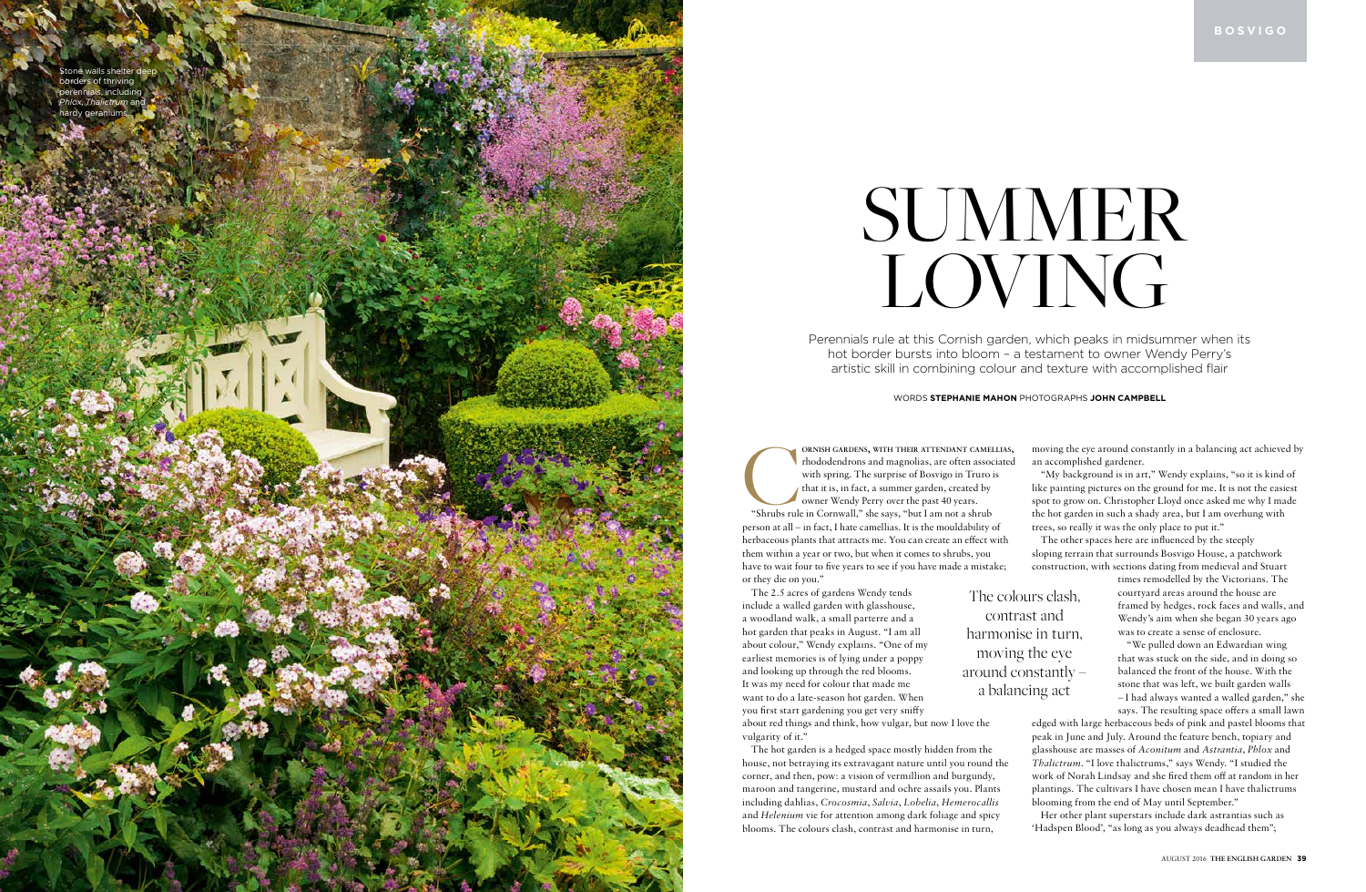Perennials rule at this Cornish garden, which peaks in midsummer when its hot border bursts into bloom – a testament to owner Wendy Perry's artistic skill in combining colour and texture with accomplished flair



#### WORDS **STEPHANIE MAHON** PHOTOGRAPHS **JOHN CAMPBELL**

**EXPREMISH GARDENS, WITH THEIR ATTENDANT CAMELLIAS**<br>
"Shrubs rule in Cornwall," she says, "but I am not a shrub<br>
"Shrubs rule in Cornwall," she says, "but I am not a shrub ORNISH GARDENS, WITH THEIR ATTENDANT CAMELLIAS, rhododendrons and magnolias, are often associated with spring. The surprise of Bosvigo in Truro is that it is, in fact, a summer garden, created by owner Wendy Perry over the past 40 years. person at all – in fact, I hate camellias. It is the mouldability of herbaceous plants that attracts me. You can create an effect with them within a year or two, but when it comes to shrubs, you have to wait four to five years to see if you have made a mistake; or they die on you."

The 2.5 acres of gardens Wendy tends include a walled garden with glasshouse, a woodland walk, a small parterre and a hot garden that peaks in August. "I am all about colour," Wendy explains. "One of my earliest memories is of lying under a poppy and looking up through the red blooms. It was my need for colour that made me want to do a late-season hot garden. When you first start gardening you get very sniffy about red things and think, how vulgar, but now I love the vulgarity of it."

The hot garden is a hedged space mostly hidden from the house, not betraying its extravagant nature until you round the corner, and then, pow: a vision of vermillion and burgundy, maroon and tangerine, mustard and ochre assails you. Plants including dahlias, *Crocosmia*, *Salvia*, *Lobelia*, *Hemerocallis* and *Helenium* vie for attention among dark foliage and spicy blooms. The colours clash, contrast and harmonise in turn,

# SUMMER LOVING

moving the eye around constantly in a balancing act achieved by an accomplished gardener.

"My background is in art," Wendy explains, "so it is kind of like painting pictures on the ground for me. It is not the easiest spot to grow on. Christopher Lloyd once asked me why I made the hot garden in such a shady area, but I am overhung with trees, so really it was the only place to put it."

The other spaces here are influenced by the steeply sloping terrain that surrounds Bosvigo House, a patchwork construction, with sections dating from medieval and Stuart

> times remodelled by the Victorians. The courtyard areas around the house are framed by hedges, rock faces and walls, and Wendy's aim when she began 30 years ago was to create a sense of enclosure.

> "We pulled down an Edwardian wing that was stuck on the side, and in doing so balanced the front of the house. With the stone that was left, we built garden walls – I had always wanted a walled garden," she

> says. The resulting space offers a small lawn

edged with large herbaceous beds of pink and pastel blooms that peak in June and July. Around the feature bench, topiary and glasshouse are masses of *Aconitum* and *Astrantia*, *Phlox* and *Thalictrum*. "I love thalictrums," says Wendy. "I studied the work of Norah Lindsay and she fired them off at random in her plantings. The cultivars I have chosen mean I have thalictrums blooming from the end of May until September."

Her other plant superstars include dark astrantias such as 'Hadspen Blood', "as long as you always deadhead them";

The colours clash, contrast and harmonise in turn, moving the eye around constantly – a balancing act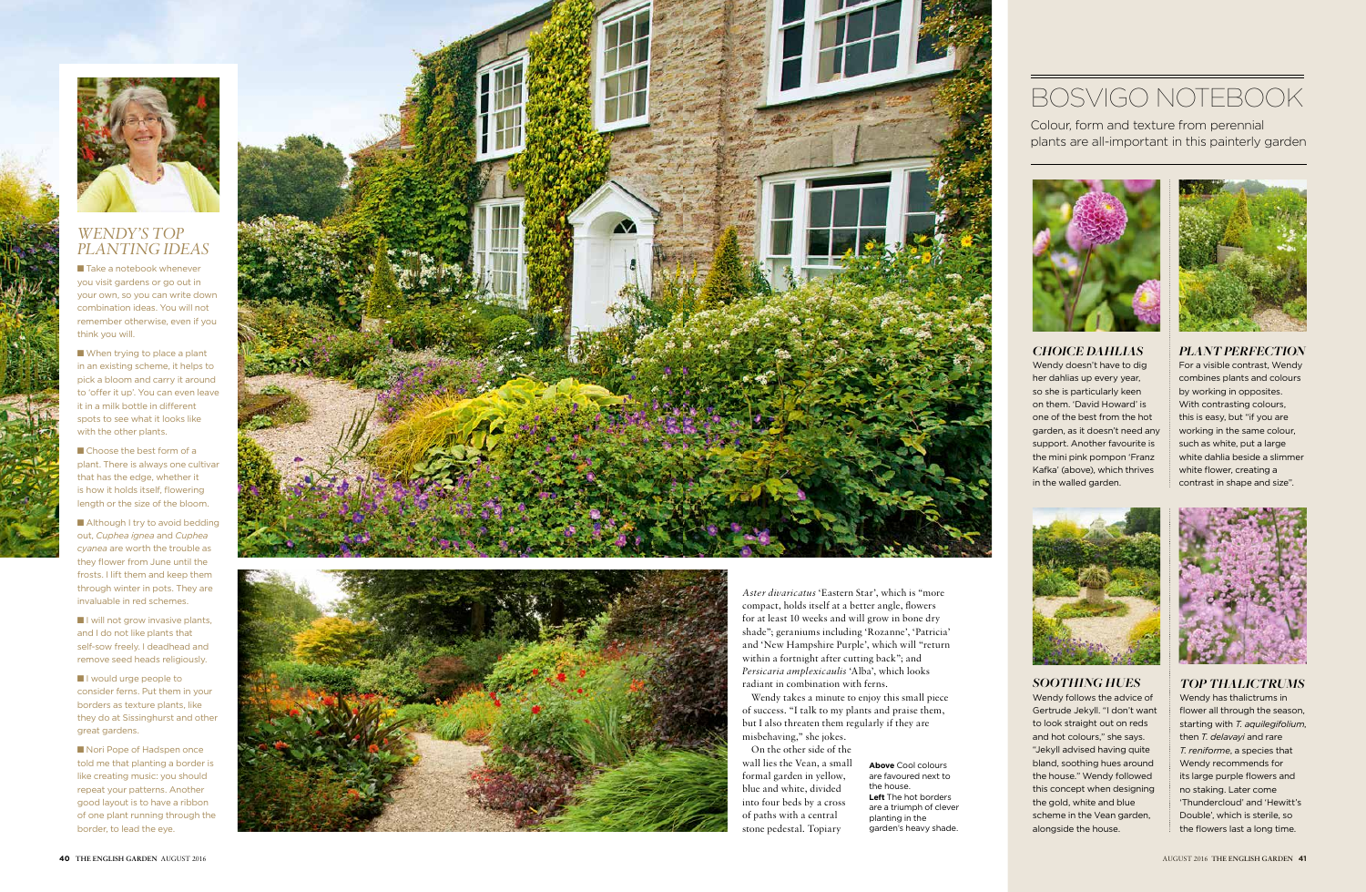

### *WENDY'S TOP PLANTING IDEAS*

■ Take a notebook whenever you visit gardens or go out in your own, so you can write down combination ideas. You will not remember otherwise, even if you think you will.

 $\blacksquare$  When trying to place a plant in an existing scheme, it helps to pick a bloom and carry it around to 'offer it up'. You can even leave it in a milk bottle in different spots to see what it looks like with the other plants.

 $\blacksquare$  Choose the best form of a plant. There is always one cultivar that has the edge, whether it is how it holds itself, flowering length or the size of the bloom.

 $\blacksquare$  Although I try to avoid bedding out, *Cuphea ignea* and *Cuphea cyanea* are worth the trouble as they flower from June until the frosts. I lift them and keep them through winter in pots. They are invaluable in red schemes.

■ I will not grow invasive plants, and I do not like plants that self-sow freely. I deadhead and remove seed heads religiously.

■ I would urge people to consider ferns. Put them in your borders as texture plants, like they do at Sissinghurst and other great gardens.

■ Nori Pope of Hadspen once told me that planting a border is like creating music: you should repeat your patterns. Another good layout is to have a ribbon of one plant running through the border, to lead the eye.





*Aster divaricatus* 'Eastern Star', which is "more compact, holds itself at a better angle, flowers for at least 10 weeks and will grow in bone dry shade"; geraniums including 'Rozanne', 'Patricia' and 'New Hampshire Purple', which will "return within a fortnight after cutting back"; and *Persicaria amplexicaulis* 'Alba', which looks radiant in combination with ferns.

Wendy takes a minute to enjoy this small piece of success. "I talk to my plants and praise them, but I also threaten them regularly if they are misbehaving," she jokes.

On the other side of the wall lies the Vean, a small formal garden in yellow, blue and white, divided into four beds by a cross of paths with a central stone pedestal. Topiary

**Above** Cool colours are favoured next to the house. **Left** The hot borders are a triumph of clever planting in the garden's heavy shade.

*CHOICE DAHLIAS*  Wendy doesn't have to dig her dahlias up every year, so she is particularly keen on them. 'David Howard' is one of the best from the hot garden, as it doesn't need any support. Another favourite is the mini pink pompon 'Franz Kafka' (above), which thrives in the walled garden.



*TOP THALICTRUMS*  Wendy has thalictrums in flower all through the season, starting with *T. aquilegifolium*, then *T. delavayi* and rare *T. reniforme*, a species that Wendy recommends for its large purple flowers and no staking. Later come 'Thundercloud' and 'Hewitt's Double', which is sterile, so the flowers last a long time.

#### *SOOTHING HUES*

Wendy follows the advice of Gertrude Jekyll. "I don't want to look straight out on reds and hot colours," she says. "Jekyll advised having quite bland, soothing hues around the house." Wendy followed this concept when designing the gold, white and blue scheme in the Vean garden, alongside the house.



*PLANT PERFECTION* For a visible contrast, Wendy combines plants and colours by working in opposites. With contrasting colours, this is easy, but "if you are working in the same colour, such as white, put a large white dahlia beside a slimmer white flower, creating a contrast in shape and size".



## BOSVIGO NOTEBOOK

Colour, form and texture from perennial plants are all-important in this painterly garden